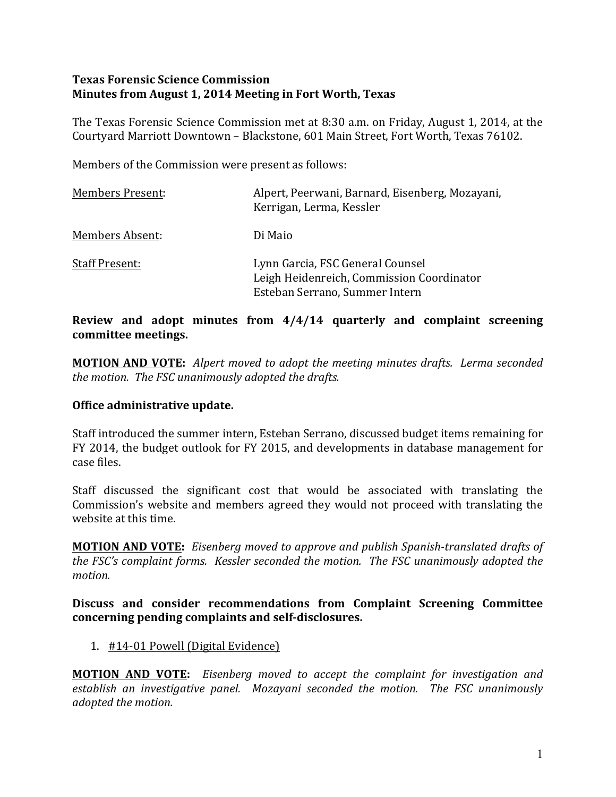### **Texas Forensic Science Commission Minutes from August 1, 2014 Meeting in Fort Worth, Texas**

The Texas Forensic Science Commission met at 8:30 a.m. on Friday, August 1, 2014, at the Courtyard Marriott Downtown - Blackstone, 601 Main Street, Fort Worth, Texas 76102.

Members of the Commission were present as follows:

| <b>Members Present:</b> | Alpert, Peerwani, Barnard, Eisenberg, Mozayani,<br>Kerrigan, Lerma, Kessler                                     |
|-------------------------|-----------------------------------------------------------------------------------------------------------------|
| Members Absent:         | Di Maio                                                                                                         |
| <b>Staff Present:</b>   | Lynn Garcia, FSC General Counsel<br>Leigh Heidenreich, Commission Coordinator<br>Esteban Serrano, Summer Intern |

### **Review** and adopt minutes from  $4/4/14$  quarterly and complaint screening **committee meetings.**

**MOTION AND VOTE:** Alpert moved to adopt the meeting minutes drafts. Lerma seconded *the motion. The FSC unanimously adopted the drafts.* 

#### **Office administrative update.**

Staff introduced the summer intern, Esteban Serrano, discussed budget items remaining for FY 2014, the budget outlook for FY 2015, and developments in database management for case files. 

Staff discussed the significant cost that would be associated with translating the Commission's website and members agreed they would not proceed with translating the website at this time.

**MOTION AND VOTE:** *Eisenberg moved to approve and publish Spanish-translated drafts of the FSC's complaint forms. Kessler seconded the motion. The FSC unanimously adopted the motion.*

#### Discuss and consider recommendations from Complaint Screening Committee concerning pending complaints and self-disclosures.

#### 1. #14-01 Powell (Digital Evidence)

**MOTION AND VOTE:** Eisenberg moved to accept the complaint for investigation and establish an investigative panel. Mozayani seconded the motion. The FSC unanimously *adopted the motion.*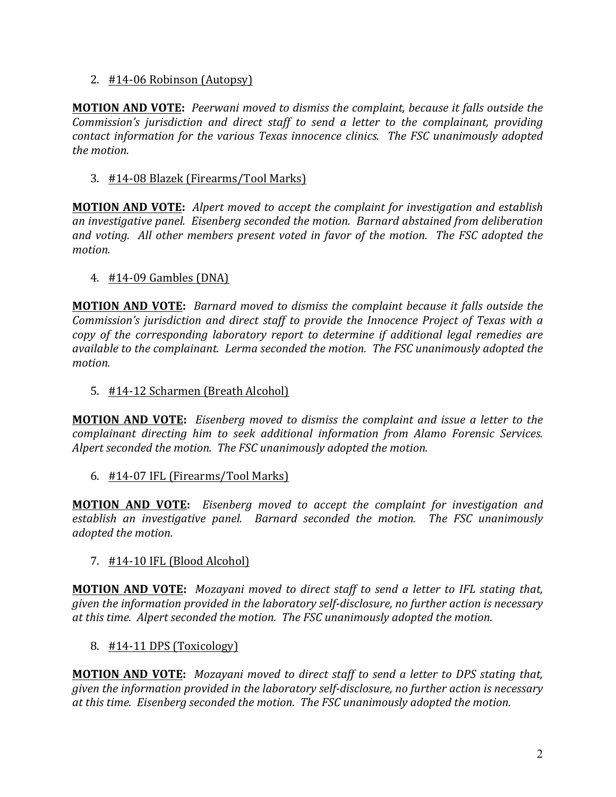### 2. #14-06 Robinson (Autopsy)

**MOTION AND VOTE:** Peerwani moved to dismiss the complaint, because it falls outside the *Commission's jurisdiction and direct staff to send a letter to the complainant, providing contact information for the various Texas innocence clinics. The FSC unanimously adopted* the *motion*.

3. #14-08 Blazek (Firearms/Tool Marks)

**MOTION AND VOTE:** Alpert moved to accept the complaint for investigation and establish an investigative panel. Eisenberg seconded the motion. Barnard abstained from deliberation and voting. All other members present voted in favor of the motion. The FSC adopted the *motion.*

4.  $\#14$ -09 Gambles (DNA)

**MOTION AND VOTE:** *Barnard moved to dismiss the complaint because it falls outside the Commission's* jurisdiction and direct staff to provide the Innocence Project of Texas with a *copy* of the corresponding laboratory report to determine if additional legal remedies are *available to the complainant. Lerma seconded the motion. The FSC unanimously adopted the motion.* 

5. #14-12 Scharmen (Breath Alcohol)

**MOTION AND VOTE:** Eisenberg moved to dismiss the complaint and issue a letter to the *complainant directing him to seek additional information from Alamo Forensic Services.* Alpert seconded the motion. The FSC unanimously adopted the motion.

6.  $\#14$ -07 IFL (Firearms/Tool Marks)

**MOTION AND VOTE:** Eisenberg moved to accept the complaint for investigation and establish an investigative panel. Barnard seconded the motion. The FSC unanimously *adopted the motion.*

 $7.$  #14-10 IFL (Blood Alcohol)

**MOTION AND VOTE:** Mozayani moved to direct staff to send a letter to IFL stating that, *given the information provided in the laboratory self-disclosure, no further action is necessary* at this time. Alpert seconded the motion. The FSC unanimously adopted the motion.

8. #14-11 DPS (Toxicology)

**MOTION AND VOTE:** Mozayani moved to direct staff to send a letter to DPS stating that, *given the information provided in the laboratory self-disclosure, no further action is necessary* at this time. Eisenberg seconded the motion. The FSC unanimously adopted the motion.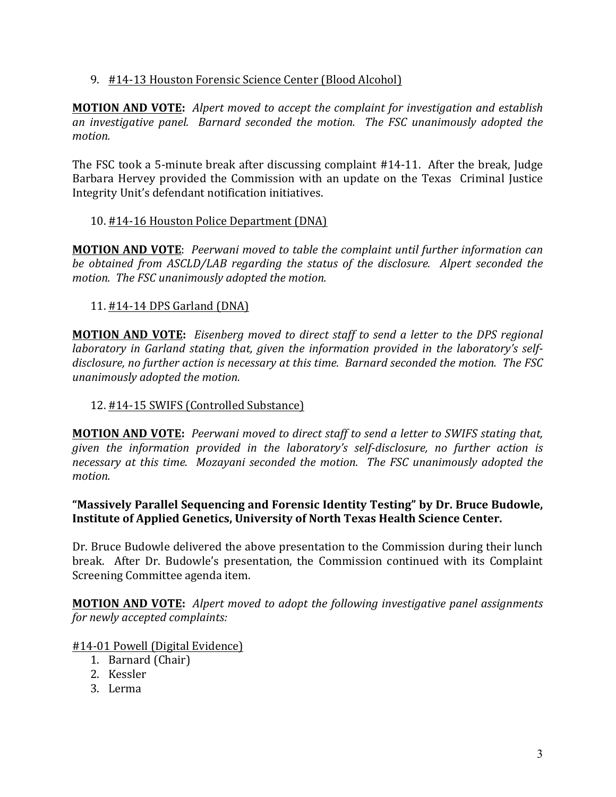## 9. #14-13 Houston Forensic Science Center (Blood Alcohol)

**MOTION AND VOTE:** Alpert moved to accept the complaint for investigation and establish an investigative panel. Barnard seconded the motion. The FSC unanimously adopted the *motion.* 

The FSC took a 5-minute break after discussing complaint  $#14-11$ . After the break, Judge Barbara Hervey provided the Commission with an update on the Texas Criminal Justice Integrity Unit's defendant notification initiatives.

### 10. #14-16 Houston Police Department (DNA)

**MOTION AND VOTE:** Peerwani moved to table the complaint until further information can *be* obtained from ASCLD/LAB regarding the status of the disclosure. Alpert seconded the *motion.* The FSC unanimously adopted the motion.

### 11. **#14-14 DPS Garland (DNA)**

**MOTION AND VOTE:** Eisenberg moved to direct staff to send a letter to the DPS regional *laboratory* in Garland stating that, given the information provided in the laboratory's selfdisclosure, no further action is necessary at this time. Barnard seconded the motion. The FSC *unanimously adopted the motion.* 

## 12. #14-15 SWIFS (Controlled Substance)

**MOTION AND VOTE:** Peerwani moved to direct staff to send a letter to SWIFS stating that, given the information provided in the laboratory's self-disclosure, no further action is *necessary* at this time. Mozayani seconded the motion. The FSC unanimously adopted the *motion.* 

#### "Massively Parallel Sequencing and Forensic Identity Testing" by Dr. Bruce Budowle, **Institute of Applied Genetics, University of North Texas Health Science Center.**

Dr. Bruce Budowle delivered the above presentation to the Commission during their lunch break. After Dr. Budowle's presentation, the Commission continued with its Complaint Screening Committee agenda item.

**MOTION AND VOTE:** Alpert moved to adopt the following investigative panel assignments *for newly accepted complaints:* 

#### #14-01 Powell (Digital Evidence)

- 1. Barnard (Chair)
- 2. Kessler
- 3. Lerma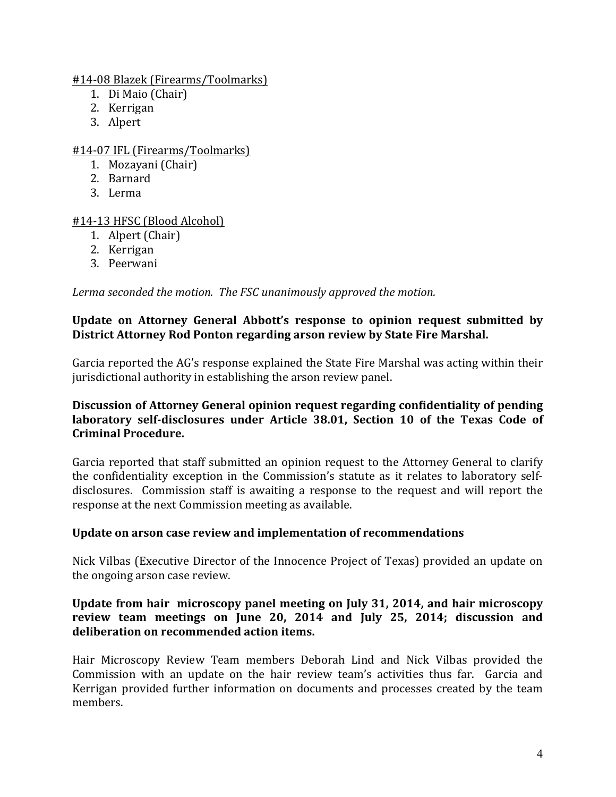### #14-08 Blazek (Firearms/Toolmarks)

- 1. Di Maio (Chair)
- 2. Kerrigan
- 3. Alpert

# #14-07 IFL (Firearms/Toolmarks)

- 1. Mozayani (Chair)
- 2. Barnard
- 3. Lerma

# #14-13 HFSC (Blood Alcohol)

- 1. Alpert (Chair)
- 2. Kerrigan
- 3. Peerwani

Lerma seconded the motion. The FSC unanimously approved the motion.

### **Update on Attorney General Abbott's response to opinion request submitted by District Attorney Rod Ponton regarding arson review by State Fire Marshal.**

Garcia reported the AG's response explained the State Fire Marshal was acting within their jurisdictional authority in establishing the arson review panel.

### **Discussion of Attorney General opinion request regarding confidentiality of pending** laboratory self-disclosures under Article 38.01, Section 10 of the Texas Code of **Criminal Procedure.**

Garcia reported that staff submitted an opinion request to the Attorney General to clarify the confidentiality exception in the Commission's statute as it relates to laboratory selfdisclosures. Commission staff is awaiting a response to the request and will report the response at the next Commission meeting as available.

# Update on arson case review and implementation of recommendations

Nick Vilbas (Executive Director of the Innocence Project of Texas) provided an update on the ongoing arson case review.

### **Update from hair microscopy panel meeting on July 31, 2014, and hair microscopy** review team meetings on June 20, 2014 and July 25, 2014; discussion and deliberation on recommended action items.

Hair Microscopy Review Team members Deborah Lind and Nick Vilbas provided the Commission with an update on the hair review team's activities thus far. Garcia and Kerrigan provided further information on documents and processes created by the team members.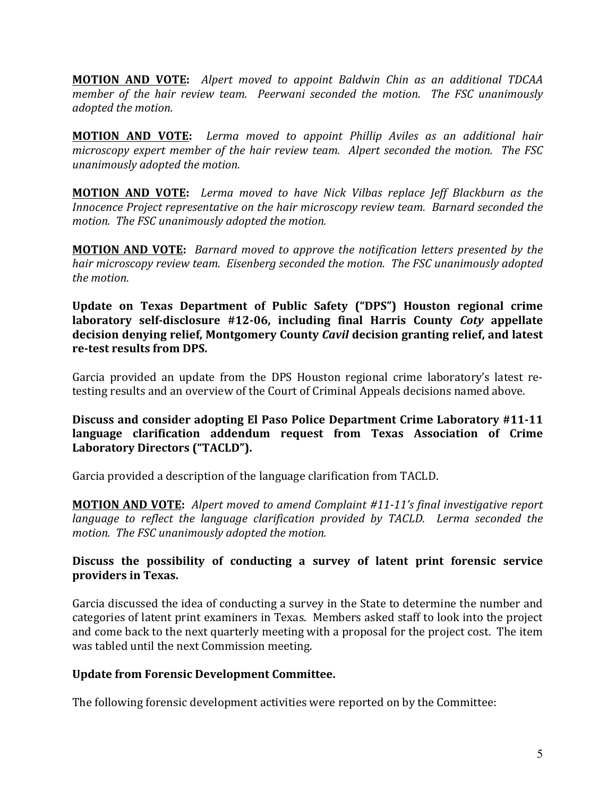**MOTION AND VOTE:** Alpert moved to appoint Baldwin Chin as an additional TDCAA *member of the hair review team. Peerwani seconded the motion. The FSC unanimously adopted the motion.*

**MOTION AND VOTE:** Lerma moved to appoint Phillip Aviles as an additional hair *microscopy expert member of the hair review team. Alpert seconded the motion. The FSC unanimously adopted the motion.*

**MOTION AND VOTE:** Lerma moved to have Nick Vilbas replace Jeff Blackburn as the *Innocence Project representative on the hair microscopy review team. Barnard seconded the motion. The FSC unanimously adopted the motion.*

**MOTION AND VOTE:** *Barnard moved to approve the notification letters presented by the hair microscopy review team. Eisenberg seconded the motion. The FSC unanimously adopted* the *motion*.

Update on Texas Department of Public Safety ("DPS") Houston regional crime **laboratory** self-disclosure #12-06, including final Harris County *Coty* appellate decision denving relief, Montgomery County *Cavil* decision granting relief, and latest **re-test results from DPS.** 

Garcia provided an update from the DPS Houston regional crime laboratory's latest retesting results and an overview of the Court of Criminal Appeals decisions named above.

**Discuss and consider adopting El Paso Police Department Crime Laboratory #11-11** language clarification addendum request from Texas Association of Crime Laboratory Directors ("TACLD").

Garcia provided a description of the language clarification from TACLD.

**MOTION AND VOTE:** Alpert moved to amend Complaint #11-11's final investigative report *language* to reflect the language clarification provided by TACLD. Lerma seconded the motion. The FSC unanimously adopted the motion.

### Discuss the possibility of conducting a survey of latent print forensic service providers in Texas.

Garcia discussed the idea of conducting a survey in the State to determine the number and categories of latent print examiners in Texas. Members asked staff to look into the project and come back to the next quarterly meeting with a proposal for the project cost. The item was tabled until the next Commission meeting.

#### **Update from Forensic Development Committee.**

The following forensic development activities were reported on by the Committee: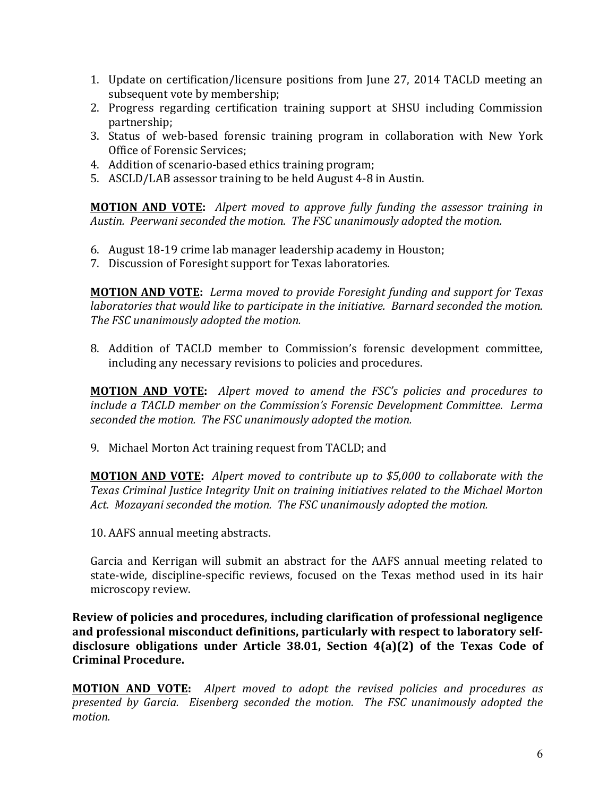- 1. Update on certification/licensure positions from June 27, 2014 TACLD meeting an subsequent vote by membership;
- 2. Progress regarding certification training support at SHSU including Commission partnership;
- 3. Status of web-based forensic training program in collaboration with New York Office of Forensic Services;
- 4. Addition of scenario-based ethics training program;
- 5. ASCLD/LAB assessor training to be held August 4-8 in Austin.

**MOTION AND VOTE:** Alpert moved to approve fully funding the assessor training in Austin. Peerwani seconded the motion. The FSC unanimously adopted the motion.

- 6. August 18-19 crime lab manager leadership academy in Houston;
- 7. Discussion of Foresight support for Texas laboratories.

**MOTION AND VOTE:** Lerma moved to provide Foresight funding and support for Texas *laboratories that would like to participate in the initiative. Barnard seconded the motion. The FSC unanimously adopted the motion.* 

8. Addition of TACLD member to Commission's forensic development committee, including any necessary revisions to policies and procedures.

**MOTION AND VOTE:** Alpert moved to amend the *FSC's* policies and procedures to *include a TACLD member on the Commission's Forensic Development Committee. Lerma* seconded the motion. The FSC unanimously adopted the motion.

9. Michael Morton Act training request from TACLD; and

**MOTION AND VOTE:** Alpert moved to contribute up to \$5,000 to collaborate with the Texas Criminal Justice Integrity Unit on training initiatives related to the Michael Morton Act. Mozayani seconded the motion. The FSC unanimously adopted the motion.

10. AAFS annual meeting abstracts.

Garcia and Kerrigan will submit an abstract for the AAFS annual meeting related to state-wide, discipline-specific reviews, focused on the Texas method used in its hair microscopy review.

**Review of policies and procedures, including clarification of professional negligence** and professional misconduct definitions, particularly with respect to laboratory selfdisclosure obligations under Article 38.01, Section 4(a)(2) of the Texas Code of **Criminal Procedure.**

**MOTION AND VOTE:** Alpert moved to adopt the revised policies and procedures as *presented by Garcia. Eisenberg seconded the motion. The FSC unanimously adopted the motion.*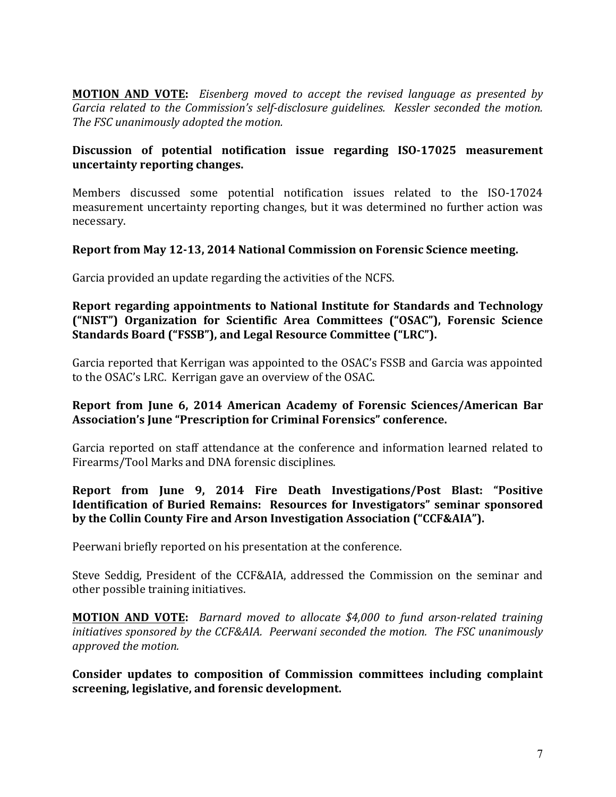**MOTION AND VOTE:** Eisenberg moved to accept the revised language as presented by *Garcia related to the Commission's self-disclosure quidelines. Kessler seconded the motion.* The FSC unanimously adopted the motion.

### Discussion of potential notification issue regarding ISO-17025 measurement **uncertainty reporting changes.**

Members discussed some potential notification issues related to the ISO-17024 measurement uncertainty reporting changes, but it was determined no further action was necessary.

#### **Report from May 12-13, 2014 National Commission on Forensic Science meeting.**

Garcia provided an update regarding the activities of the NCFS.

#### **Report regarding appointments to National Institute for Standards and Technology ("NIST")** Organization for Scientific Area Committees ("OSAC"), Forensic Science Standards Board ("FSSB"), and Legal Resource Committee ("LRC").

Garcia reported that Kerrigan was appointed to the OSAC's FSSB and Garcia was appointed to the OSAC's LRC. Kerrigan gave an overview of the OSAC.

#### **Report from June 6, 2014 American Academy of Forensic Sciences/American Bar** Association's June "Prescription for Criminal Forensics" conference.

Garcia reported on staff attendance at the conference and information learned related to Firearms/Tool Marks and DNA forensic disciplines.

### **Report from June 9, 2014 Fire Death Investigations/Post Blast: "Positive Identification of Buried Remains: Resources for Investigators" seminar sponsored by the Collin County Fire and Arson Investigation Association ("CCF&AIA").**

Peerwani briefly reported on his presentation at the conference.

Steve Seddig, President of the CCF&AIA, addressed the Commission on the seminar and other possible training initiatives.

**MOTION AND VOTE:** *Barnard moved to allocate* \$4,000 to fund arson-related training *initiatives sponsored by the CCF&AIA. Peerwani seconded the motion. The FSC unanimously approved the motion.*

Consider updates to composition of Commission committees including complaint **screening, legislative, and forensic development.**